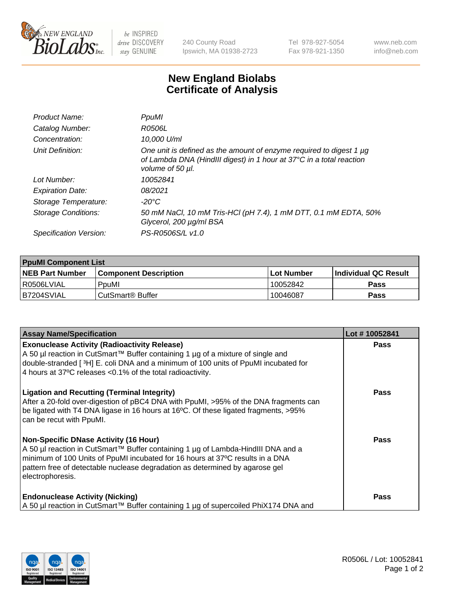

 $be$  INSPIRED drive DISCOVERY stay GENUINE

240 County Road Ipswich, MA 01938-2723 Tel 978-927-5054 Fax 978-921-1350 www.neb.com info@neb.com

## **New England Biolabs Certificate of Analysis**

| Product Name:              | PpuMI                                                                                                                                                           |
|----------------------------|-----------------------------------------------------------------------------------------------------------------------------------------------------------------|
| Catalog Number:            | R0506L                                                                                                                                                          |
| Concentration:             | 10,000 U/ml                                                                                                                                                     |
| Unit Definition:           | One unit is defined as the amount of enzyme required to digest 1 µg<br>of Lambda DNA (HindIII digest) in 1 hour at 37°C in a total reaction<br>volume of 50 µl. |
| Lot Number:                | 10052841                                                                                                                                                        |
| <b>Expiration Date:</b>    | 08/2021                                                                                                                                                         |
| Storage Temperature:       | -20°C                                                                                                                                                           |
| <b>Storage Conditions:</b> | 50 mM NaCl, 10 mM Tris-HCl (pH 7.4), 1 mM DTT, 0.1 mM EDTA, 50%<br>Glycerol, 200 µg/ml BSA                                                                      |
| Specification Version:     | PS-R0506S/L v1.0                                                                                                                                                |

| <b>PpuMI Component List</b> |                              |             |                       |  |
|-----------------------------|------------------------------|-------------|-----------------------|--|
| <b>NEB Part Number</b>      | <b>Component Description</b> | ⊺Lot Number | ∣Individual QC Result |  |
| R0506LVIAL                  | PouMI                        | 10052842    | <b>Pass</b>           |  |
| IB7204SVIAL                 | l CutSmart® Buffer           | 10046087    | <b>Pass</b>           |  |

| <b>Assay Name/Specification</b>                                                                                                                                                                                                                                                                                  | Lot #10052841 |
|------------------------------------------------------------------------------------------------------------------------------------------------------------------------------------------------------------------------------------------------------------------------------------------------------------------|---------------|
| <b>Exonuclease Activity (Radioactivity Release)</b><br>A 50 µl reaction in CutSmart™ Buffer containing 1 µg of a mixture of single and<br>double-stranded [3H] E. coli DNA and a minimum of 100 units of PpuMI incubated for<br>4 hours at 37°C releases < 0.1% of the total radioactivity.                      | <b>Pass</b>   |
| <b>Ligation and Recutting (Terminal Integrity)</b><br>After a 20-fold over-digestion of pBC4 DNA with PpuMI, >95% of the DNA fragments can<br>be ligated with T4 DNA ligase in 16 hours at 16°C. Of these ligated fragments, >95%<br>can be recut with PpuMI.                                                    | Pass          |
| Non-Specific DNase Activity (16 Hour)<br>  A 50 µl reaction in CutSmart™ Buffer containing 1 µg of Lambda-HindIII DNA and a<br>minimum of 100 Units of PpuMI incubated for 16 hours at 37°C results in a DNA<br>pattern free of detectable nuclease degradation as determined by agarose gel<br>electrophoresis. | <b>Pass</b>   |
| <b>Endonuclease Activity (Nicking)</b><br>A 50 µl reaction in CutSmart™ Buffer containing 1 µg of supercoiled PhiX174 DNA and                                                                                                                                                                                    | <b>Pass</b>   |